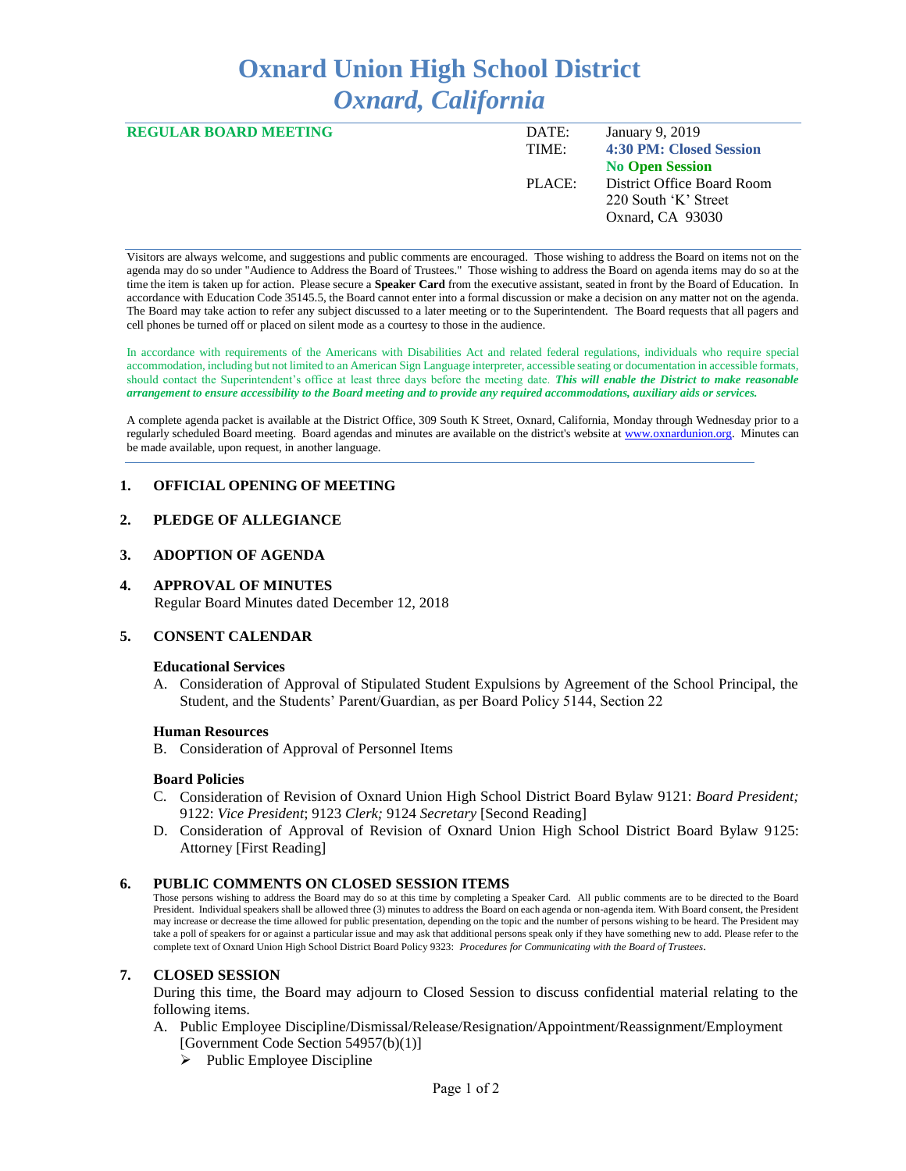# **Oxnard Union High School District** *Oxnard, California*

| <b>REGULAR BOARD MEETING</b> | DATE:  | January 9, 2019            |
|------------------------------|--------|----------------------------|
|                              | TIME:  | 4:30 PM: Closed Session    |
|                              |        | <b>No Open Session</b>     |
|                              | PLACE: | District Office Board Room |
|                              |        | 220 South 'K' Street       |
|                              |        | Oxnard, CA 93030           |
|                              |        |                            |

Visitors are always welcome, and suggestions and public comments are encouraged. Those wishing to address the Board on items not on the agenda may do so under "Audience to Address the Board of Trustees." Those wishing to address the Board on agenda items may do so at the time the item is taken up for action. Please secure a **Speaker Card** from the executive assistant, seated in front by the Board of Education. In accordance with Education Code 35145.5, the Board cannot enter into a formal discussion or make a decision on any matter not on the agenda. The Board may take action to refer any subject discussed to a later meeting or to the Superintendent. The Board requests that all pagers and cell phones be turned off or placed on silent mode as a courtesy to those in the audience.

In accordance with requirements of the Americans with Disabilities Act and related federal regulations, individuals who require special accommodation, including but not limited to an American Sign Language interpreter, accessible seating or documentation in accessible formats, should contact the Superintendent's office at least three days before the meeting date. *This will enable the District to make reasonable arrangement to ensure accessibility to the Board meeting and to provide any required accommodations, auxiliary aids or services.* 

A complete agenda packet is available at the District Office, 309 South K Street, Oxnard, California, Monday through Wednesday prior to a regularly scheduled Board meeting. Board agendas and minutes are available on the district's website a[t www.ox](http://www.o/)nardunion.org.Minutes can be made available, upon request, in another language.

## **1. OFFICIAL OPENING OF MEETING**

## **2. PLEDGE OF ALLEGIANCE**

### **3. ADOPTION OF AGENDA**

### **4. APPROVAL OF MINUTES**

Regular Board Minutes dated December 12, 2018

#### **5. CONSENT CALENDAR**

#### **Educational Services**

A. Consideration of Approval of Stipulated Student Expulsions by Agreement of the School Principal, the Student, and the Students' Parent/Guardian, as per Board Policy 5144, Section 22

#### **Human Resources**

B. Consideration of Approval of Personnel Items

#### **Board Policies**

- C. Consideration of Revision of Oxnard Union High School District Board Bylaw 9121: *Board President;*  9122: *Vice President*; 9123 *Clerk;* 9124 *Secretary* [Second Reading]
- D. Consideration of Approval of Revision of Oxnard Union High School District Board Bylaw 9125: Attorney [First Reading]

## **6. PUBLIC COMMENTS ON CLOSED SESSION ITEMS**

Those persons wishing to address the Board may do so at this time by completing a Speaker Card. All public comments are to be directed to the Board President. Individual speakers shall be allowed three (3) minutes to address the Board on each agenda or non-agenda item. With Board consent, the President may increase or decrease the time allowed for public presentation, depending on the topic and the number of persons wishing to be heard. The President may take a poll of speakers for or against a particular issue and may ask that additional persons speak only if they have something new to add. Please refer to the complete text of Oxnard Union High School District Board Policy 9323: *Procedures for Communicating with the Board of Trustees*.

#### **7. CLOSED SESSION**

During this time, the Board may adjourn to Closed Session to discuss confidential material relating to the following items.

- A. Public Employee Discipline/Dismissal/Release/Resignation/Appointment/Reassignment/Employment [Government Code Section 54957(b)(1)]
	- $\triangleright$  Public Employee Discipline